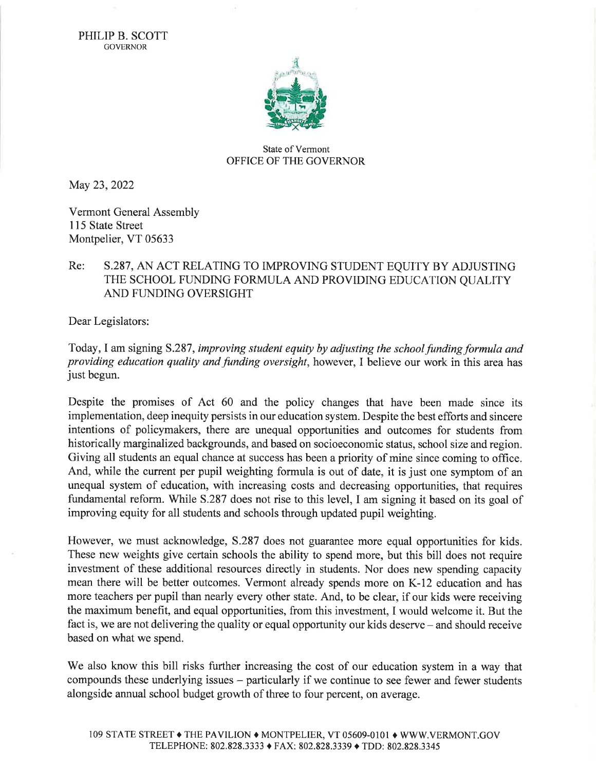PHILIP B. SCOTT **GOVERNOR** 



## State of Vermont OFFICE OF THE GOVERNOR

May 23,2022

Vermont General Assembly 115 State Street Montpelier, VT 05633

## Re: 5.287, AN ACT RELATING TO IMPROVING STUDENT EQUITY BY ADJUSTING THE SCHOOL FUNDING FORMULA AND PROVIDING EDUCATION OUALITY AND FUNDING OVERSIGHT

Dear Legislators:

Today, I am signing S.287, improving student equity by adjusting the school funding formula and providing education quality and funding oversight, however, I believe our work in this area has just begun.

Despite the promises of Act 60 and the policy changes that have been made since its implementation, deep inequity persists in our education system. Despite the best efforts and sincere intentions of policymakers, there are unequal opportunities and outcomes for students from historically marginalized backgrounds, and based on socioeconomic status, school size and region. Giving all students an equal chance at success has been a priority of mine since coming to office. And, while the current per pupil weighting formula is out of date, it is just one symptom of an unequal system of education, with increasing costs and decreasing opportunities, that requires fundamental reform. While 5.287 does not rise to this level, I am signing it based on its goal of improving equity for all students and schools through updated pupil weighting.

However, we must acknowledge, 5.287 does not guarantee more equal opportunities for kids. These new weights give certain schools the ability to spend more, but this bill does not require investment of these additional resources directly in students. Nor does new spending capacity mean there will be better outcomes. Vermont already spends more on K-12 education and has more teachers per pupil than nearly every other state. And, to be clear, if our kids were receiving the maximum benefit, and equal opportunities, from this investment, I would welcome it. But the fact is, we are not delivering the quality or equal opportunity our kids deserve – and should receive based on what we spend.

We also know this bill risks further increasing the cost of our education system in a way that compounds these underlying issues - particularly if we continue to see fewer and fewer students alongside annual school budget growth of three to four percent, on average.